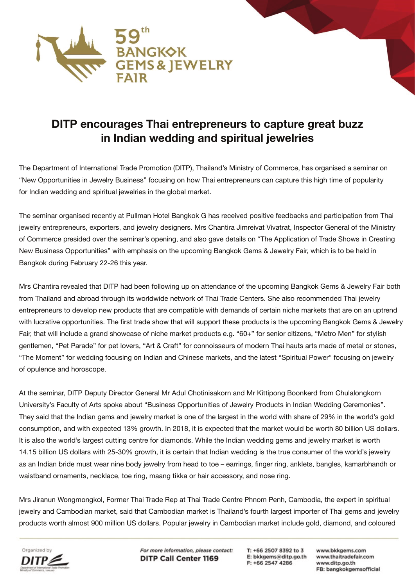

## **DITP encourages Thai entrepreneurs to capture great buzz in Indian wedding and spiritual jewelries**

The Department of International Trade Promotion (DITP), Thailand's Ministry of Commerce, has organised a seminar on "New Opportunities in Jewelry Business" focusing on how Thai entrepreneurs can capture this high time of popularity for Indian wedding and spiritual jewelries in the global market.

The seminar organised recently at Pullman Hotel Bangkok G has received positive feedbacks and participation from Thai jewelry entrepreneurs, exporters, and jewelry designers. Mrs Chantira Jimreivat Vivatrat, Inspector General of the Ministry of Commerce presided over the seminar's opening, and also gave details on "The Application of Trade Shows in Creating New Business Opportunities" with emphasis on the upcoming Bangkok Gems & Jewelry Fair, which is to be held in Bangkok during February 22-26 this year.

Mrs Chantira revealed that DITP had been following up on attendance of the upcoming Bangkok Gems & Jewelry Fair both from Thailand and abroad through its worldwide network of Thai Trade Centers. She also recommended Thai jewelry entrepreneurs to develop new products that are compatible with demands of certain niche markets that are on an uptrend with lucrative opportunities. The first trade show that will support these products is the upcoming Bangkok Gems & Jewelry Fair, that will include a grand showcase of niche market products e.g. "60+" for senior citizens, "Metro Men" for stylish gentlemen, "Pet Parade" for pet lovers, "Art & Craft" for connoisseurs of modern Thai hauts arts made of metal or stones, "The Moment" for wedding focusing on Indian and Chinese markets, and the latest "Spiritual Power" focusing on jewelry of opulence and horoscope.

At the seminar, DITP Deputy Director General Mr Adul Chotinisakorn and Mr Kittipong Boonkerd from Chulalongkorn University's Faculty of Arts spoke about "Business Opportunities of Jewelry Products in Indian Wedding Ceremonies". They said that the Indian gems and jewelry market is one of the largest in the world with share of 29% in the world's gold consumption, and with expected 13% growth. In 2018, it is expected that the market would be worth 80 billion US dollars. It is also the world's largest cutting centre for diamonds. While the Indian wedding gems and jewelry market is worth 14.15 billion US dollars with 25-30% growth, it is certain that Indian wedding is the true consumer of the world's jewelry as an Indian bride must wear nine body jewelry from head to toe – earrings, finger ring, anklets, bangles, kamarbhandh or waistband ornaments, necklace, toe ring, maang tikka or hair accessory, and nose ring.

Mrs Jiranun Wongmongkol, Former Thai Trade Rep at Thai Trade Centre Phnom Penh, Cambodia, the expert in spiritual jewelry and Cambodian market, said that Cambodian market is Thailand's fourth largest importer of Thai gems and jewelry products worth almost 900 million US dollars. Popular jewelry in Cambodian market include gold, diamond, and coloured



For more information, please contact: **DITP Call Center 1169** 

T: +66 2507 8392 to 3 E: bkkgems@ditp.go.th F: +66 2547 4286

www.bkkgems.com www.thaitradefair.com www.ditp.go.th FB: bangkokgemsofficial